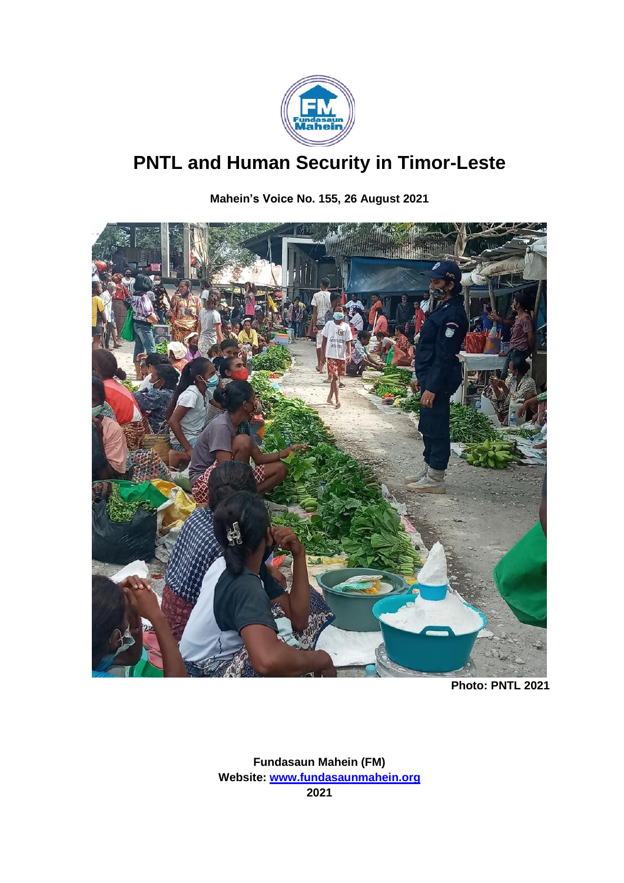

# **PNTL and Human Security in Timor-Leste**

**Mahein's Voice No. 155, 26 August 2021**



**Photo: PNTL 2021**

**Fundasaun Mahein (FM) Website: [www.fundasaunmahein.org](http://www.fundasaunmahein.org/) 2021**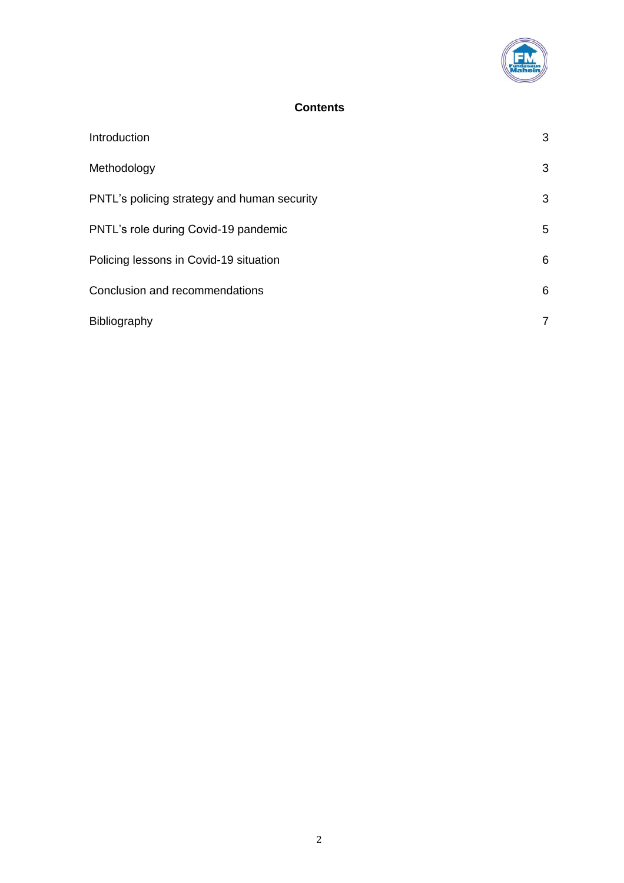

#### **Contents**

| Introduction                                | 3 |
|---------------------------------------------|---|
| Methodology                                 | 3 |
| PNTL's policing strategy and human security | 3 |
| PNTL's role during Covid-19 pandemic        | 5 |
| Policing lessons in Covid-19 situation      | 6 |
| Conclusion and recommendations              | 6 |
| Bibliography                                | 7 |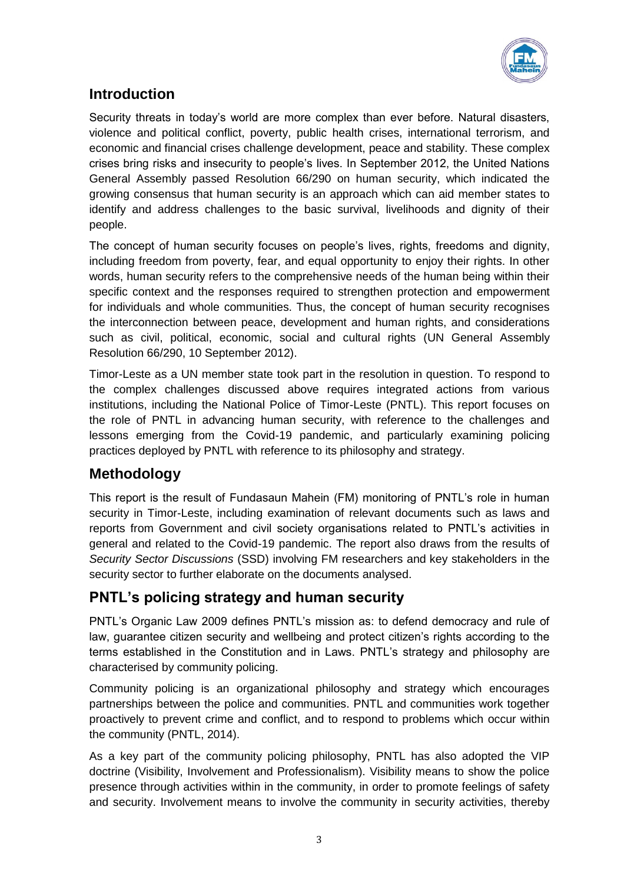

## **Introduction**

Security threats in today's world are more complex than ever before. Natural disasters, violence and political conflict, poverty, public health crises, international terrorism, and economic and financial crises challenge development, peace and stability. These complex crises bring risks and insecurity to people's lives. In September 2012, the United Nations General Assembly passed Resolution 66/290 on human security, which indicated the growing consensus that human security is an approach which can aid member states to identify and address challenges to the basic survival, livelihoods and dignity of their people.

The concept of human security focuses on people's lives, rights, freedoms and dignity, including freedom from poverty, fear, and equal opportunity to enjoy their rights. In other words, human security refers to the comprehensive needs of the human being within their specific context and the responses required to strengthen protection and empowerment for individuals and whole communities. Thus, the concept of human security recognises the interconnection between peace, development and human rights, and considerations such as civil, political, economic, social and cultural rights (UN General Assembly Resolution 66/290, 10 September 2012).

Timor-Leste as a UN member state took part in the resolution in question. To respond to the complex challenges discussed above requires integrated actions from various institutions, including the National Police of Timor-Leste (PNTL). This report focuses on the role of PNTL in advancing human security, with reference to the challenges and lessons emerging from the Covid-19 pandemic, and particularly examining policing practices deployed by PNTL with reference to its philosophy and strategy.

## **Methodology**

This report is the result of Fundasaun Mahein (FM) monitoring of PNTL's role in human security in Timor-Leste, including examination of relevant documents such as laws and reports from Government and civil society organisations related to PNTL's activities in general and related to the Covid-19 pandemic. The report also draws from the results of *Security Sector Discussions* (SSD) involving FM researchers and key stakeholders in the security sector to further elaborate on the documents analysed.

### **PNTL's policing strategy and human security**

PNTL's Organic Law 2009 defines PNTL's mission as: to defend democracy and rule of law, guarantee citizen security and wellbeing and protect citizen's rights according to the terms established in the Constitution and in Laws. PNTL's strategy and philosophy are characterised by community policing.

Community policing is an organizational philosophy and strategy which encourages partnerships between the police and communities. PNTL and communities work together proactively to prevent crime and conflict, and to respond to problems which occur within the community (PNTL, 2014).

As a key part of the community policing philosophy, PNTL has also adopted the VIP doctrine (Visibility, Involvement and Professionalism). Visibility means to show the police presence through activities within in the community, in order to promote feelings of safety and security. Involvement means to involve the community in security activities, thereby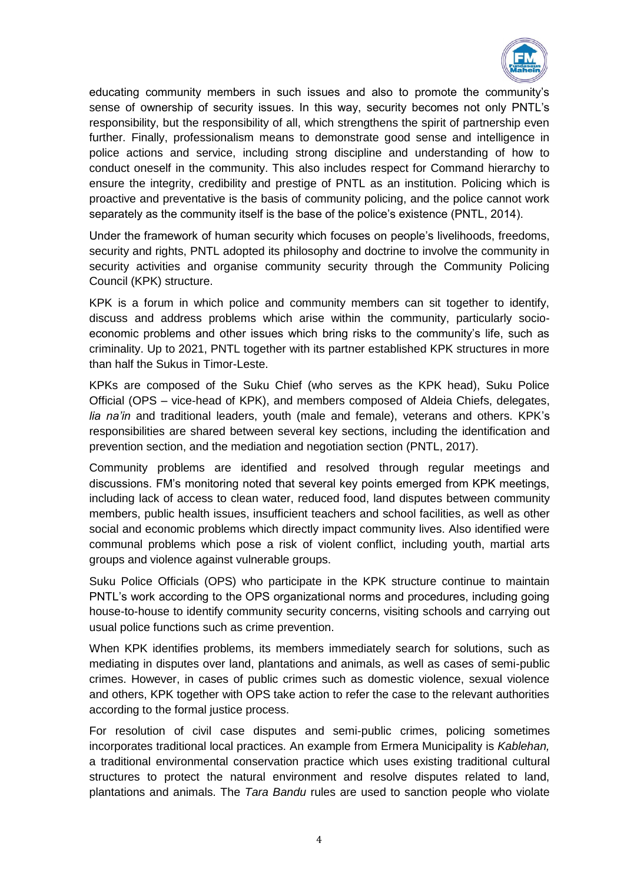

educating community members in such issues and also to promote the community's sense of ownership of security issues. In this way, security becomes not only PNTL's responsibility, but the responsibility of all, which strengthens the spirit of partnership even further. Finally, professionalism means to demonstrate good sense and intelligence in police actions and service, including strong discipline and understanding of how to conduct oneself in the community. This also includes respect for Command hierarchy to ensure the integrity, credibility and prestige of PNTL as an institution. Policing which is proactive and preventative is the basis of community policing, and the police cannot work separately as the community itself is the base of the police's existence (PNTL, 2014).

Under the framework of human security which focuses on people's livelihoods, freedoms, security and rights, PNTL adopted its philosophy and doctrine to involve the community in security activities and organise community security through the Community Policing Council (KPK) structure.

KPK is a forum in which police and community members can sit together to identify, discuss and address problems which arise within the community, particularly socioeconomic problems and other issues which bring risks to the community's life, such as criminality. Up to 2021, PNTL together with its partner established KPK structures in more than half the Sukus in Timor-Leste.

KPKs are composed of the Suku Chief (who serves as the KPK head), Suku Police Official (OPS – vice-head of KPK), and members composed of Aldeia Chiefs, delegates, *lia na'in* and traditional leaders, youth (male and female), veterans and others. KPK's responsibilities are shared between several key sections, including the identification and prevention section, and the mediation and negotiation section (PNTL, 2017).

Community problems are identified and resolved through regular meetings and discussions. FM's monitoring noted that several key points emerged from KPK meetings, including lack of access to clean water, reduced food, land disputes between community members, public health issues, insufficient teachers and school facilities, as well as other social and economic problems which directly impact community lives. Also identified were communal problems which pose a risk of violent conflict, including youth, martial arts groups and violence against vulnerable groups.

Suku Police Officials (OPS) who participate in the KPK structure continue to maintain PNTL's work according to the OPS organizational norms and procedures, including going house-to-house to identify community security concerns, visiting schools and carrying out usual police functions such as crime prevention.

When KPK identifies problems, its members immediately search for solutions, such as mediating in disputes over land, plantations and animals, as well as cases of semi-public crimes. However, in cases of public crimes such as domestic violence, sexual violence and others, KPK together with OPS take action to refer the case to the relevant authorities according to the formal justice process.

For resolution of civil case disputes and semi-public crimes, policing sometimes incorporates traditional local practices. An example from Ermera Municipality is *Kablehan,* a traditional environmental conservation practice which uses existing traditional cultural structures to protect the natural environment and resolve disputes related to land, plantations and animals. The *Tara Bandu* rules are used to sanction people who violate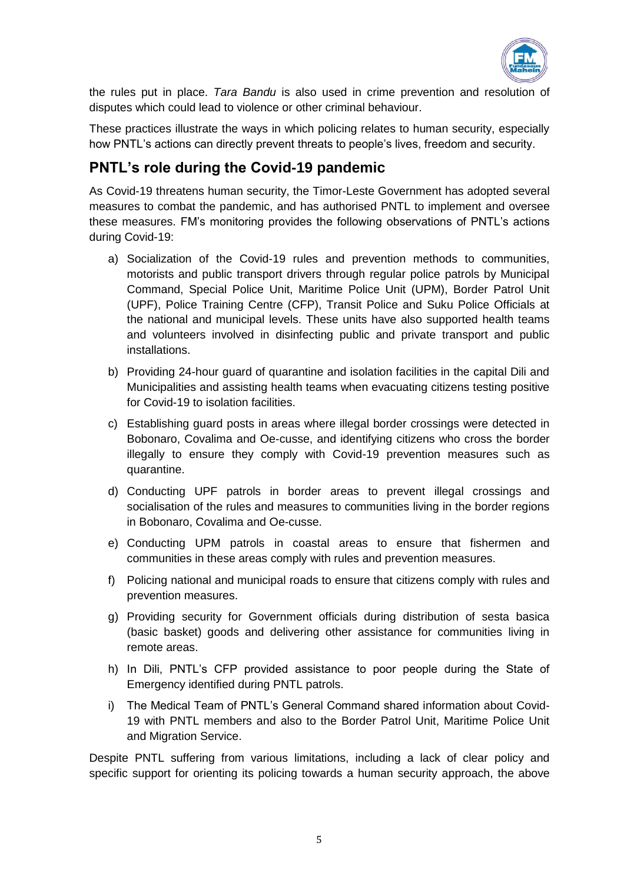

the rules put in place. *Tara Bandu* is also used in crime prevention and resolution of disputes which could lead to violence or other criminal behaviour.

These practices illustrate the ways in which policing relates to human security, especially how PNTL's actions can directly prevent threats to people's lives, freedom and security.

## **PNTL's role during the Covid-19 pandemic**

As Covid-19 threatens human security, the Timor-Leste Government has adopted several measures to combat the pandemic, and has authorised PNTL to implement and oversee these measures. FM's monitoring provides the following observations of PNTL's actions during Covid-19:

- a) Socialization of the Covid-19 rules and prevention methods to communities, motorists and public transport drivers through regular police patrols by Municipal Command, Special Police Unit, Maritime Police Unit (UPM), Border Patrol Unit (UPF), Police Training Centre (CFP), Transit Police and Suku Police Officials at the national and municipal levels. These units have also supported health teams and volunteers involved in disinfecting public and private transport and public installations.
- b) Providing 24-hour guard of quarantine and isolation facilities in the capital Dili and Municipalities and assisting health teams when evacuating citizens testing positive for Covid-19 to isolation facilities.
- c) Establishing guard posts in areas where illegal border crossings were detected in Bobonaro, Covalima and Oe-cusse, and identifying citizens who cross the border illegally to ensure they comply with Covid-19 prevention measures such as quarantine.
- d) Conducting UPF patrols in border areas to prevent illegal crossings and socialisation of the rules and measures to communities living in the border regions in Bobonaro, Covalima and Oe-cusse.
- e) Conducting UPM patrols in coastal areas to ensure that fishermen and communities in these areas comply with rules and prevention measures.
- f) Policing national and municipal roads to ensure that citizens comply with rules and prevention measures.
- g) Providing security for Government officials during distribution of sesta basica (basic basket) goods and delivering other assistance for communities living in remote areas.
- h) In Dili, PNTL's CFP provided assistance to poor people during the State of Emergency identified during PNTL patrols.
- i) The Medical Team of PNTL's General Command shared information about Covid-19 with PNTL members and also to the Border Patrol Unit, Maritime Police Unit and Migration Service.

Despite PNTL suffering from various limitations, including a lack of clear policy and specific support for orienting its policing towards a human security approach, the above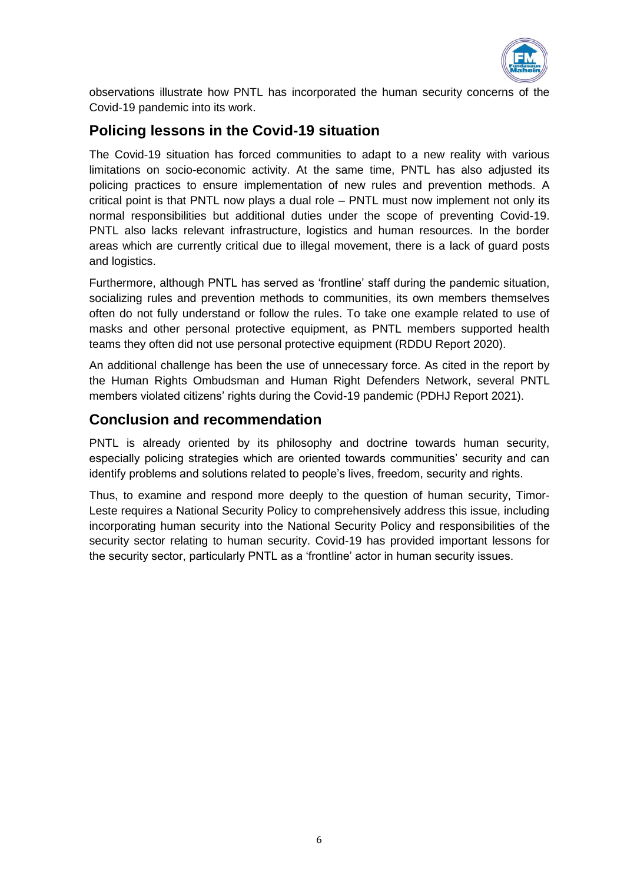

observations illustrate how PNTL has incorporated the human security concerns of the Covid-19 pandemic into its work.

## **Policing lessons in the Covid-19 situation**

The Covid-19 situation has forced communities to adapt to a new reality with various limitations on socio-economic activity. At the same time, PNTL has also adjusted its policing practices to ensure implementation of new rules and prevention methods. A critical point is that PNTL now plays a dual role – PNTL must now implement not only its normal responsibilities but additional duties under the scope of preventing Covid-19. PNTL also lacks relevant infrastructure, logistics and human resources. In the border areas which are currently critical due to illegal movement, there is a lack of guard posts and logistics.

Furthermore, although PNTL has served as 'frontline' staff during the pandemic situation, socializing rules and prevention methods to communities, its own members themselves often do not fully understand or follow the rules. To take one example related to use of masks and other personal protective equipment, as PNTL members supported health teams they often did not use personal protective equipment (RDDU Report 2020).

An additional challenge has been the use of unnecessary force. As cited in the report by the Human Rights Ombudsman and Human Right Defenders Network, several PNTL members violated citizens' rights during the Covid-19 pandemic (PDHJ Report 2021).

### **Conclusion and recommendation**

PNTL is already oriented by its philosophy and doctrine towards human security, especially policing strategies which are oriented towards communities' security and can identify problems and solutions related to people's lives, freedom, security and rights.

Thus, to examine and respond more deeply to the question of human security, Timor-Leste requires a National Security Policy to comprehensively address this issue, including incorporating human security into the National Security Policy and responsibilities of the security sector relating to human security. Covid-19 has provided important lessons for the security sector, particularly PNTL as a 'frontline' actor in human security issues.